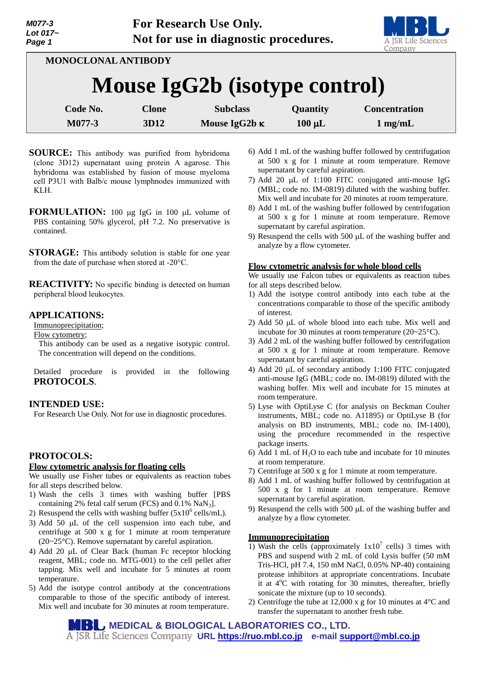

**MONOCLONAL ANTIBODY**

# **Mouse IgG2b (isotype control)**

| Code No. | Clone | <b>Subclass</b>      | <b>Quantity</b> | <b>Concentration</b> |
|----------|-------|----------------------|-----------------|----------------------|
| M077-3   | 3D12  | Mouse IgG2b $\kappa$ | $100 \mu L$     | $1 \text{ mg/mL}$    |

- **SOURCE:** This antibody was purified from hybridoma (clone 3D12) supernatant using protein A agarose. This hybridoma was established by fusion of mouse myeloma cell P3U1 with Balb/c mouse lymphnodes immunized with KLH.
- **FORMULATION:** 100 µg IgG in 100 µL volume of PBS containing 50% glycerol, pH 7.2. No preservative is contained.

**STORAGE:** This antibody solution is stable for one year from the date of purchase when stored at -20°C.

**REACTIVITY:** No specific binding is detected on human peripheral blood leukocytes.

## **APPLICATIONS:**

Immunoprecipitation;

Flow cytometry;

This antibody can be used as a negative isotypic control. The concentration will depend on the conditions.

Detailed procedure is provided in the following **PROTOCOLS**.

## **INTENDED USE:**

For Research Use Only. Not for use in diagnostic procedures.

## **PROTOCOLS:**

#### **Flow cytometric analysis for floating cells**

We usually use Fisher tubes or equivalents as reaction tubes for all steps described below.

- 1) Wash the cells 3 times with washing buffer [PBS containing 2% fetal calf serum (FCS) and 0.1% NaN<sub>3</sub>].
- 2) Resuspend the cells with washing buffer  $(5x10^6 \text{ cells/mL})$ .
- 3) Add 50  $\mu$ L of the cell suspension into each tube, and centrifuge at 500 x g for 1 minute at room temperature (20~25°C). Remove supernatant by careful aspiration.
- 4) Add 20  $\mu$ L of Clear Back (human Fc receptor blocking reagent, MBL; code no. MTG-001) to the cell pellet after tapping. Mix well and incubate for 5 minutes at room temperature.
- 5) Add the isotype control antibody at the concentrations comparable to those of the specific antibody of interest. Mix well and incubate for 30 minutes at room temperature.
- 6) Add 1 mL of the washing buffer followed by centrifugation at 500 x g for 1 minute at room temperature. Remove supernatant by careful aspiration.
- 7) Add 20  $\mu$ L of 1:100 FITC conjugated anti-mouse IgG (MBL; code no. IM-0819) diluted with the washing buffer. Mix well and incubate for 20 minutes at room temperature.
- 8) Add 1 mL of the washing buffer followed by centrifugation at 500 x g for 1 minute at room temperature. Remove supernatant by careful aspiration.
- 9) Resuspend the cells with  $500 \mu L$  of the washing buffer and analyze by a flow cytometer.

#### **Flow cytometric analysis for whole blood cells**

We usually use Falcon tubes or equivalents as reaction tubes for all steps described below.

- 1) Add the isotype control antibody into each tube at the concentrations comparable to those of the specific antibody of interest.
- 2) Add 50  $\mu$ L of whole blood into each tube. Mix well and incubate for 30 minutes at room temperature (20~25°C).
- 3) Add 2 mL of the washing buffer followed by centrifugation at 500 x g for 1 minute at room temperature. Remove supernatant by careful aspiration.
- 4) Add 20  $\mu$ L of secondary antibody 1:100 FITC conjugated anti-mouse IgG (MBL; code no. IM-0819) diluted with the washing buffer. Mix well and incubate for 15 minutes at room temperature.
- 5) Lyse with OptiLyse C (for analysis on Beckman Coulter instruments, MBL; code no. A11895) or OptiLyse B (for analysis on BD instruments, MBL; code no. IM-1400), using the procedure recommended in the respective package inserts.
- 6) Add 1 mL of  $H_2O$  to each tube and incubate for 10 minutes at room temperature.
- 7) Centrifuge at 500 x g for 1 minute at room temperature.
- 8) Add 1 mL of washing buffer followed by centrifugation at 500 x g for 1 minute at room temperature. Remove supernatant by careful aspiration.
- 9) Resuspend the cells with  $500 \mu L$  of the washing buffer and analyze by a flow cytometer.

#### **Immunoprecipitation**

- 1) Wash the cells (approximately  $1x10^7$  cells) 3 times with PBS and suspend with 2 mL of cold Lysis buffer (50 mM Tris-HCl, pH 7.4, 150 mM NaCl, 0.05% NP-40) containing protease inhibitors at appropriate concentrations. Incubate it at  $4^{\circ}$ C with rotating for 30 minutes, thereafter, briefly sonicate the mixture (up to 10 seconds).
- 2) Centrifuge the tube at 12,000 x g for 10 minutes at  $4^{\circ}$ C and transfer the supernatant to another fresh tube.